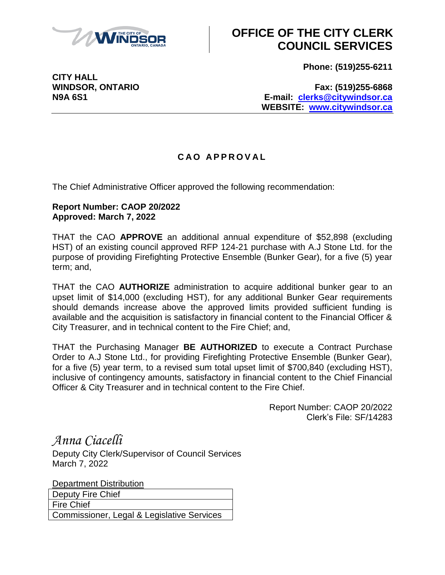

## **OFFICE OF THE CITY CLERK COUNCIL SERVICES**

**Phone: (519)255-6211**

**CITY HALL**

**WINDSOR, ONTARIO Fax: (519)255-6868 N9A 6S1 E-mail: [clerks@citywindsor.ca](mailto:clerks@citywindsor.ca) WEBSITE: [www.citywindsor.ca](http://www.citywindsor.ca/)**

## **C A O A P P R O V A L**

The Chief Administrative Officer approved the following recommendation:

## **Report Number: CAOP 20/2022 Approved: March 7, 2022**

THAT the CAO **APPROVE** an additional annual expenditure of \$52,898 (excluding HST) of an existing council approved RFP 124-21 purchase with A.J Stone Ltd. for the purpose of providing Firefighting Protective Ensemble (Bunker Gear), for a five (5) year term; and,

THAT the CAO **AUTHORIZE** administration to acquire additional bunker gear to an upset limit of \$14,000 (excluding HST), for any additional Bunker Gear requirements should demands increase above the approved limits provided sufficient funding is available and the acquisition is satisfactory in financial content to the Financial Officer & City Treasurer, and in technical content to the Fire Chief; and,

THAT the Purchasing Manager **BE AUTHORIZED** to execute a Contract Purchase Order to A.J Stone Ltd., for providing Firefighting Protective Ensemble (Bunker Gear), for a five (5) year term, to a revised sum total upset limit of \$700,840 (excluding HST), inclusive of contingency amounts, satisfactory in financial content to the Chief Financial Officer & City Treasurer and in technical content to the Fire Chief.

> Report Number: CAOP 20/2022 Clerk's File: SF/14283

*Anna Ciacelli*

Deputy City Clerk/Supervisor of Council Services March 7, 2022

Department Distribution Deputy Fire Chief Fire Chief Commissioner, Legal & Legislative Services